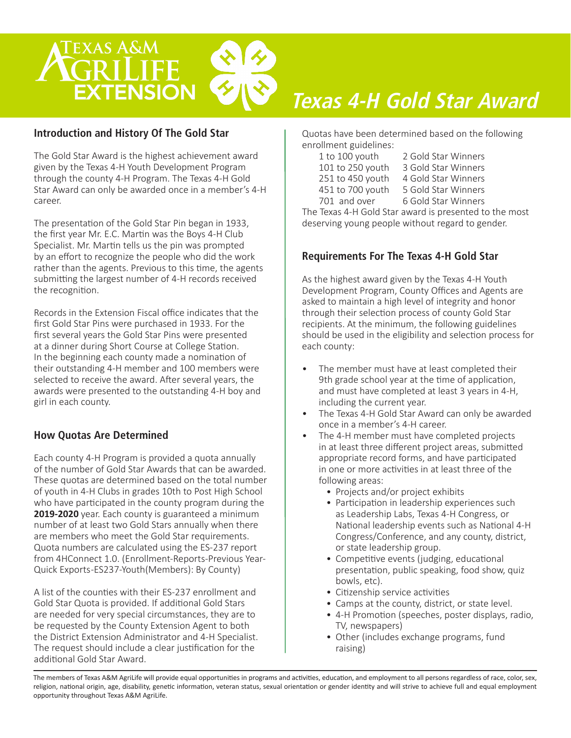

#### **Introduction and History Of The Gold Star**

The Gold Star Award is the highest achievement award given by the Texas 4-H Youth Development Program through the county 4-H Program. The Texas 4-H Gold Star Award can only be awarded once in a member's 4-H career.

The presentation of the Gold Star Pin began in 1933, the first year Mr. E.C. Martin was the Boys 4-H Club Specialist. Mr. Martin tells us the pin was prompted by an effort to recognize the people who did the work rather than the agents. Previous to this time, the agents submitting the largest number of 4-H records received the recognition.

Records in the Extension Fiscal office indicates that the first Gold Star Pins were purchased in 1933. For the first several years the Gold Star Pins were presented at a dinner during Short Course at College Station. In the beginning each county made a nomination of their outstanding 4-H member and 100 members were selected to receive the award. After several years, the awards were presented to the outstanding 4-H boy and girl in each county.

#### **How Quotas Are Determined**

Each county 4-H Program is provided a quota annually of the number of Gold Star Awards that can be awarded. These quotas are determined based on the total number of youth in 4-H Clubs in grades 10th to Post High School who have participated in the county program during the **2019-2020** year. Each county is guaranteed a minimum number of at least two Gold Stars annually when there are members who meet the Gold Star requirements. Quota numbers are calculated using the ES-237 report from 4HConnect 1.0. (Enrollment-Reports-Previous Year-Quick Exports -ES237-Youth(Members): By County)

A list of the counties with their ES-237 enrollment and Gold Star Quota is provided. If additional Gold Stars are needed for very special circumstances, they are to be requested by the County Extension Agent to both the District Extension Administrator and 4-H Specialist. The request should include a clear justification for the additional Gold Star Award.

# *Texas 4-H Gold Star Award*

Quotas have been determined based on the following enrollment guidelines:

| 1 to 100 youth   | 2 Gold Star Winners |
|------------------|---------------------|
| 101 to 250 youth | 3 Gold Star Winners |
| 251 to 450 youth | 4 Gold Star Winners |
| 451 to 700 youth | 5 Gold Star Winners |
| 701 and over     | 6 Gold Star Winners |

The Texas 4-H Gold Star award is presented to the most deserving young people without regard to gender.

#### **Requirements For The Texas 4-H Gold Star**

As the highest award given by the Texas 4-H Youth Development Program, County Offices and Agents are asked to maintain a high level of integrity and honor through their selection process of county Gold Star recipients. At the minimum, the following guidelines should be used in the eligibility and selection process for each county:

- The member must have at least completed their 9th grade school year at the time of application, and must have completed at least 3 years in 4-H, including the current year.
- The Texas 4-H Gold Star Award can only be awarded once in a member's 4-H career.
- The 4-H member must have completed projects in at least three different project areas, submitted appropriate record forms, and have participated in one or more activities in at least three of the following areas:
	- Projects and/or project exhibits
	- Participation in leadership experiences such as Leadership Labs, Texas 4-H Congress, or National leadership events such as National 4-H Congress/Conference, and any county, district, or state leadership group.
	- Competitive events (judging, educational presentation, public speaking, food show, quiz bowls, etc).
	- Citizenship service activities
	- Camps at the county, district, or state level.
	- 4-H Promotion (speeches, poster displays, radio, TV, newspapers)
	- Other (includes exchange programs, fund raising)

The members of Texas A&M AgriLife will provide equal opportunities in programs and activities, education, and employment to all persons regardless of race, color, sex, religion, national origin, age, disability, genetic information, veteran status, sexual orientation or gender identity and will strive to achieve full and equal employment opportunity throughout Texas A&M AgriLife.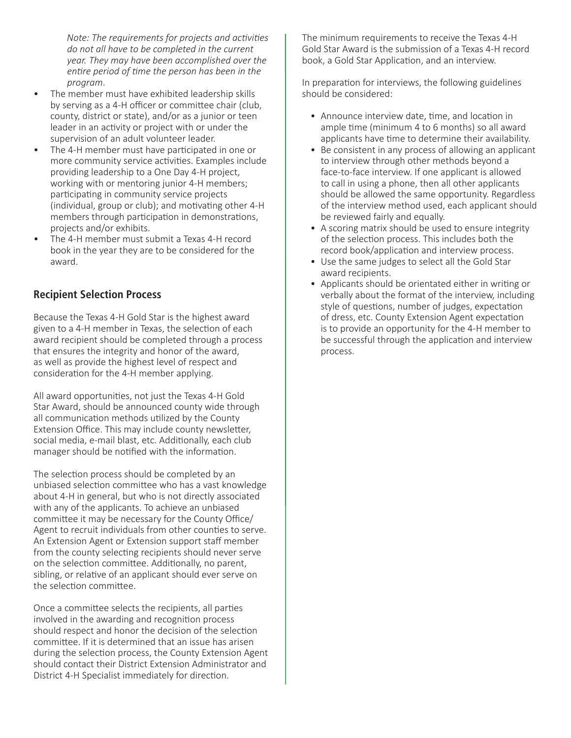*Note: The requirements for projects and activities do not all have to be completed in the current year. They may have been accomplished over the entire period of time the person has been in the program*.

- The member must have exhibited leadership skills by serving as a 4-H officer or committee chair (club, county, district or state), and/or as a junior or teen leader in an activity or project with or under the supervision of an adult volunteer leader.
- The 4-H member must have participated in one or more community service activities. Examples include providing leadership to a One Day 4-H project, working with or mentoring junior 4-H members; participating in community service projects (individual, group or club); and motivating other 4-H members through participation in demonstrations, projects and/or exhibits.
- The 4-H member must submit a Texas 4-H record book in the year they are to be considered for the award.

#### **Recipient Selection Process**

Because the Texas 4-H Gold Star is the highest award given to a 4-H member in Texas, the selection of each award recipient should be completed through a process that ensures the integrity and honor of the award, as well as provide the highest level of respect and consideration for the 4-H member applying.

All award opportunities, not just the Texas 4-H Gold Star Award, should be announced county wide through all communication methods utilized by the County Extension Office. This may include county newsletter, social media, e-mail blast, etc. Additionally, each club manager should be notified with the information.

The selection process should be completed by an unbiased selection committee who has a vast knowledge about 4-H in general, but who is not directly associated with any of the applicants. To achieve an unbiased committee it may be necessary for the County Office/ Agent to recruit individuals from other counties to serve. An Extension Agent or Extension support staff member from the county selecting recipients should never serve on the selection committee. Additionally, no parent, sibling, or relative of an applicant should ever serve on the selection committee.

Once a committee selects the recipients, all parties involved in the awarding and recognition process should respect and honor the decision of the selection committee. If it is determined that an issue has arisen during the selection process, the County Extension Agent should contact their District Extension Administrator and District 4-H Specialist immediately for direction.

The minimum requirements to receive the Texas 4-H Gold Star Award is the submission of a Texas 4-H record book, a Gold Star Application, and an interview.

In preparation for interviews, the following guidelines should be considered:

- Announce interview date, time, and location in ample time (minimum 4 to 6 months) so all award applicants have time to determine their availability.
- Be consistent in any process of allowing an applicant to interview through other methods beyond a face-to-face interview. If one applicant is allowed to call in using a phone, then all other applicants should be allowed the same opportunity. Regardless of the interview method used, each applicant should be reviewed fairly and equally.
- A scoring matrix should be used to ensure integrity of the selection process. This includes both the record book/application and interview process.
- Use the same judges to select all the Gold Star award recipients.
- Applicants should be orientated either in writing or verbally about the format of the interview, including style of questions, number of judges, expectation of dress, etc. County Extension Agent expectation is to provide an opportunity for the 4-H member to be successful through the application and interview process.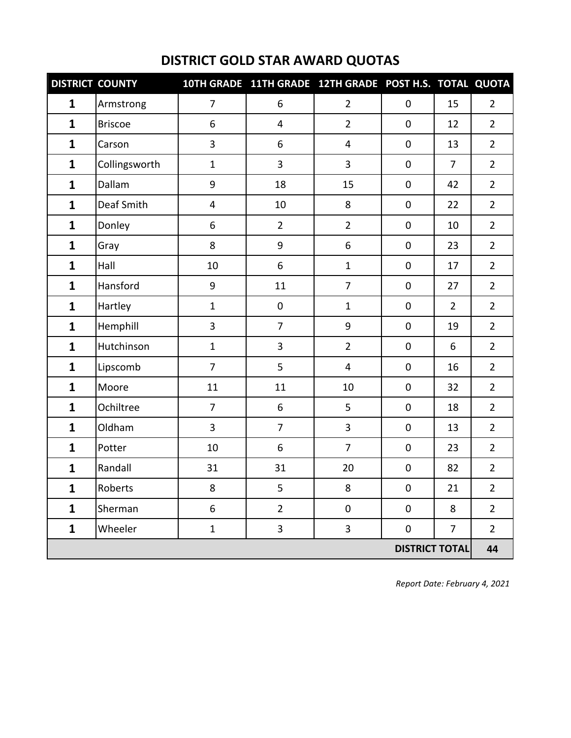| <b>DISTRICT COUNTY</b> |                |                | 10TH GRADE 11TH GRADE 12TH GRADE POST H.S. TOTAL QUOTA |                         |                       |                |                |
|------------------------|----------------|----------------|--------------------------------------------------------|-------------------------|-----------------------|----------------|----------------|
| $\mathbf{1}$           | Armstrong      | $\overline{7}$ | 6                                                      | $\overline{2}$          | 0                     | 15             | $\overline{2}$ |
| $\mathbf{1}$           | <b>Briscoe</b> | 6              | 4                                                      | $\overline{2}$          | $\mathbf 0$           | 12             | $\overline{2}$ |
| $\mathbf{1}$           | Carson         | 3              | 6                                                      | $\overline{\mathbf{4}}$ | $\pmb{0}$             | 13             | $\overline{2}$ |
| $\mathbf{1}$           | Collingsworth  | $\mathbf 1$    | $\overline{\mathbf{3}}$                                | 3                       | $\pmb{0}$             | $\overline{7}$ | $\overline{2}$ |
| $\mathbf{1}$           | Dallam         | 9              | 18                                                     | 15                      | $\pmb{0}$             | 42             | $\overline{2}$ |
| $\mathbf{1}$           | Deaf Smith     | 4              | 10                                                     | 8                       | $\mathsf{O}\xspace$   | 22             | $\overline{2}$ |
| $\mathbf{1}$           | Donley         | 6              | $\overline{2}$                                         | $\overline{2}$          | $\pmb{0}$             | 10             | $\overline{2}$ |
| $\mathbf{1}$           | Gray           | 8              | 9                                                      | 6                       | 0                     | 23             | $\overline{2}$ |
| $\mathbf{1}$           | Hall           | 10             | 6                                                      | $\mathbf{1}$            | $\pmb{0}$             | 17             | $\overline{2}$ |
| $\mathbf{1}$           | Hansford       | 9              | 11                                                     | $\overline{7}$          | $\pmb{0}$             | 27             | $\overline{2}$ |
| $\mathbf{1}$           | Hartley        | $\mathbf 1$    | $\pmb{0}$                                              | $\mathbf{1}$            | $\pmb{0}$             | $\overline{2}$ | $\overline{2}$ |
| $\mathbf{1}$           | Hemphill       | 3              | $\overline{7}$                                         | $\boldsymbol{9}$        | $\pmb{0}$             | 19             | $\overline{2}$ |
| $\mathbf{1}$           | Hutchinson     | $\mathbf 1$    | $\overline{\mathbf{3}}$                                | $\overline{2}$          | $\pmb{0}$             | 6              | $\overline{2}$ |
| $\mathbf{1}$           | Lipscomb       | $\overline{7}$ | 5                                                      | $\overline{\mathbf{4}}$ | $\pmb{0}$             | 16             | $\overline{2}$ |
| $\mathbf{1}$           | Moore          | 11             | 11                                                     | 10                      | $\mathbf 0$           | 32             | $\overline{2}$ |
| $\mathbf{1}$           | Ochiltree      | $\overline{7}$ | 6                                                      | 5                       | $\pmb{0}$             | 18             | $\overline{2}$ |
| $\mathbf{1}$           | Oldham         | 3              | $\overline{7}$                                         | 3                       | $\pmb{0}$             | 13             | $\overline{2}$ |
| $\mathbf{1}$           | Potter         | 10             | 6                                                      | $\overline{7}$          | $\pmb{0}$             | 23             | $\overline{2}$ |
| $\mathbf{1}$           | Randall        | 31             | 31                                                     | 20                      | $\pmb{0}$             | 82             | $\overline{2}$ |
| $\mathbf{1}$           | <b>Roberts</b> | 8              | 5                                                      | 8                       | $\mathbf 0$           | 21             | $\overline{2}$ |
| $\mathbf{1}$           | Sherman        | 6              | $\overline{2}$                                         | $\pmb{0}$               | $\pmb{0}$             | 8              | $\overline{2}$ |
| $\mathbf{1}$           | Wheeler        | $\mathbf 1$    | 3                                                      | 3                       | $\pmb{0}$             | $\overline{7}$ | $\overline{2}$ |
|                        |                |                |                                                        |                         | <b>DISTRICT TOTAL</b> |                | 44             |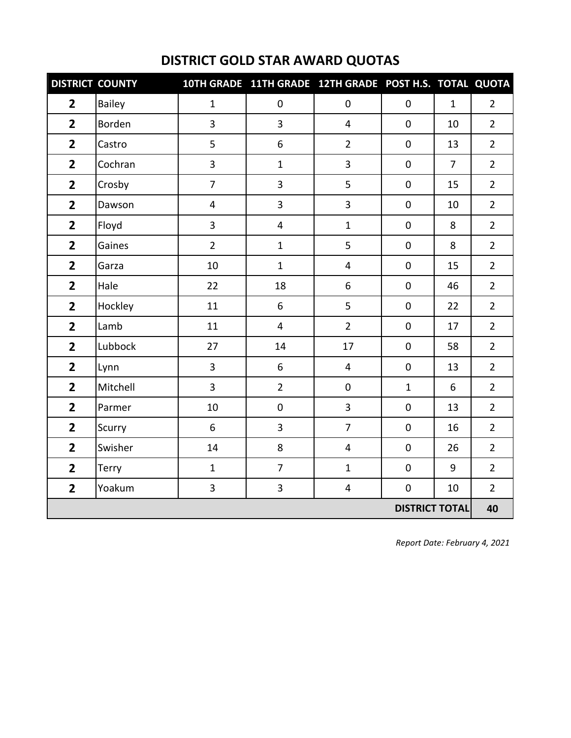|                | <b>DISTRICT COUNTY</b> |                | 10TH GRADE 11TH GRADE 12TH GRADE POST H.S. TOTAL QUOTA |                         |                       |                |                |
|----------------|------------------------|----------------|--------------------------------------------------------|-------------------------|-----------------------|----------------|----------------|
| $\overline{2}$ | <b>Bailey</b>          | $\mathbf{1}$   | $\mathbf 0$                                            | $\pmb{0}$               | $\mathbf 0$           | $\mathbf{1}$   | $\overline{2}$ |
| $\overline{2}$ | Borden                 | 3              | $\mathbf{3}$                                           | $\overline{4}$          | $\mathbf 0$           | 10             | $\overline{2}$ |
| $\overline{2}$ | Castro                 | 5              | 6                                                      | $\overline{2}$          | $\mathbf 0$           | 13             | $\overline{2}$ |
| $\overline{2}$ | Cochran                | 3              | $\mathbf{1}$                                           | 3                       | $\mathsf 0$           | $\overline{7}$ | $\overline{2}$ |
| $\overline{2}$ | Crosby                 | $\overline{7}$ | $\overline{3}$                                         | 5                       | $\mathbf 0$           | 15             | $\overline{2}$ |
| $\overline{2}$ | Dawson                 | $\overline{4}$ | $\overline{\mathbf{3}}$                                | $\overline{\mathbf{3}}$ | $\pmb{0}$             | 10             | $\overline{2}$ |
| $\overline{2}$ | Floyd                  | 3              | $\overline{4}$                                         | $\mathbf{1}$            | $\mathbf 0$           | 8              | $\overline{2}$ |
| $\overline{2}$ | Gaines                 | $\overline{2}$ | $\mathbf{1}$                                           | 5                       | $\mathsf 0$           | 8              | $\overline{2}$ |
| $\overline{2}$ | Garza                  | 10             | $\mathbf{1}$                                           | $\overline{\mathbf{4}}$ | $\pmb{0}$             | 15             | $\overline{2}$ |
| $\overline{2}$ | Hale                   | 22             | 18                                                     | 6                       | $\mathbf 0$           | 46             | $\overline{2}$ |
| $\overline{2}$ | Hockley                | 11             | 6                                                      | 5                       | $\mathbf 0$           | 22             | $\overline{2}$ |
| $\overline{2}$ | Lamb                   | 11             | $\overline{4}$                                         | $\overline{2}$          | $\pmb{0}$             | 17             | $\overline{2}$ |
| $\overline{2}$ | Lubbock                | 27             | 14                                                     | 17                      | $\mathsf 0$           | 58             | $\overline{2}$ |
| $\overline{2}$ | Lynn                   | 3              | 6                                                      | $\overline{4}$          | $\mathbf 0$           | 13             | $\overline{2}$ |
| $\overline{2}$ | Mitchell               | 3              | $\overline{2}$                                         | $\pmb{0}$               | $\mathbf{1}$          | 6              | $\overline{2}$ |
| $\overline{2}$ | Parmer                 | 10             | $\pmb{0}$                                              | 3                       | $\pmb{0}$             | 13             | $\overline{2}$ |
| $\overline{2}$ | Scurry                 | 6              | $\overline{\mathbf{3}}$                                | $\overline{7}$          | $\mathsf 0$           | 16             | $\overline{2}$ |
| $\overline{2}$ | Swisher                | 14             | 8                                                      | $\overline{4}$          | $\mathsf 0$           | 26             | $\overline{2}$ |
| $\overline{2}$ | Terry                  | $\mathbf{1}$   | $\overline{7}$                                         | $\mathbf{1}$            | $\pmb{0}$             | 9              | $\overline{2}$ |
| $\overline{2}$ | Yoakum                 | 3              | $\mathbf{3}$                                           | $\overline{\mathbf{4}}$ | $\mathsf{O}\xspace$   | 10             | $\overline{2}$ |
|                |                        |                |                                                        |                         | <b>DISTRICT TOTAL</b> |                | 40             |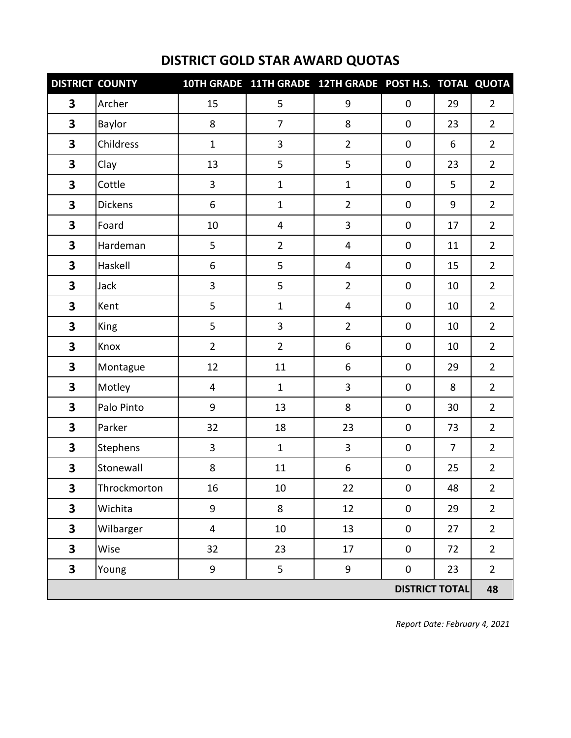| <b>DISTRICT COUNTY</b>  |                 |                |                | 10TH GRADE 11TH GRADE 12TH GRADE POST H.S. TOTAL QUOTA |                       |                |                |
|-------------------------|-----------------|----------------|----------------|--------------------------------------------------------|-----------------------|----------------|----------------|
| 3                       | Archer          | 15             | 5              | 9                                                      | 0                     | 29             | $\overline{2}$ |
| $\overline{\mathbf{3}}$ | Baylor          | 8              | $\overline{7}$ | 8                                                      | $\pmb{0}$             | 23             | $\overline{2}$ |
| $\overline{\mathbf{3}}$ | Childress       | $\mathbf{1}$   | 3              | $\overline{2}$                                         | $\pmb{0}$             | 6              | $\overline{2}$ |
| 3                       | Clay            | 13             | 5              | 5                                                      | $\pmb{0}$             | 23             | $\overline{2}$ |
| $\overline{\mathbf{3}}$ | Cottle          | 3              | $\mathbf 1$    | $\mathbf{1}$                                           | $\pmb{0}$             | 5              | $\overline{2}$ |
| 3                       | <b>Dickens</b>  | 6              | $\mathbf 1$    | $\overline{2}$                                         | $\pmb{0}$             | 9              | $\overline{2}$ |
| $\overline{\mathbf{3}}$ | Foard           | 10             | 4              | $\overline{\mathbf{3}}$                                | $\pmb{0}$             | 17             | $\overline{2}$ |
| 3                       | Hardeman        | 5              | $\overline{2}$ | $\overline{4}$                                         | $\pmb{0}$             | 11             | $\overline{2}$ |
| $\overline{\mathbf{3}}$ | Haskell         | 6              | 5              | $\overline{\mathbf{4}}$                                | $\pmb{0}$             | 15             | $\overline{2}$ |
| $\overline{\mathbf{3}}$ | Jack            | 3              | 5              | $\overline{2}$                                         | $\pmb{0}$             | 10             | $\overline{2}$ |
| 3                       | Kent            | 5              | $\mathbf{1}$   | $\overline{\mathbf{4}}$                                | $\pmb{0}$             | 10             | $\overline{2}$ |
| 3                       | King            | 5              | 3              | $\overline{2}$                                         | $\pmb{0}$             | 10             | $\overline{2}$ |
| $\overline{\mathbf{3}}$ | Knox            | $\overline{2}$ | $\overline{2}$ | 6                                                      | $\pmb{0}$             | 10             | $\overline{2}$ |
| $\overline{\mathbf{3}}$ | Montague        | 12             | 11             | 6                                                      | $\pmb{0}$             | 29             | $\overline{2}$ |
| $\overline{\mathbf{3}}$ | Motley          | 4              | $\mathbf{1}$   | $\overline{3}$                                         | $\pmb{0}$             | 8              | $\overline{2}$ |
| $\overline{\mathbf{3}}$ | Palo Pinto      | 9              | 13             | $\,8\,$                                                | $\pmb{0}$             | 30             | $\overline{2}$ |
| $\overline{\mathbf{3}}$ | Parker          | 32             | 18             | 23                                                     | $\pmb{0}$             | 73             | $\overline{2}$ |
| $\overline{\mathbf{3}}$ | <b>Stephens</b> | 3              | $\mathbf{1}$   | $\overline{3}$                                         | $\mathbf 0$           | $\overline{7}$ | $\overline{2}$ |
| $\overline{\mathbf{3}}$ | Stonewall       | 8              | 11             | 6                                                      | $\mathsf{O}\xspace$   | 25             | $\overline{2}$ |
| $\overline{\mathbf{3}}$ | Throckmorton    | 16             | 10             | 22                                                     | $\mathbf 0$           | 48             | $\overline{2}$ |
| 3                       | Wichita         | 9              | 8              | 12                                                     | $\mathbf 0$           | 29             | $\overline{2}$ |
| $\overline{\mathbf{3}}$ | Wilbarger       | 4              | 10             | 13                                                     | 0                     | 27             | $\overline{2}$ |
| $\overline{\mathbf{3}}$ | Wise            | 32             | 23             | 17                                                     | $\mathbf 0$           | 72             | $\overline{2}$ |
| $\overline{\mathbf{3}}$ | Young           | 9              | 5              | 9                                                      | $\pmb{0}$             | 23             | $\overline{2}$ |
|                         |                 |                |                |                                                        | <b>DISTRICT TOTAL</b> |                | 48             |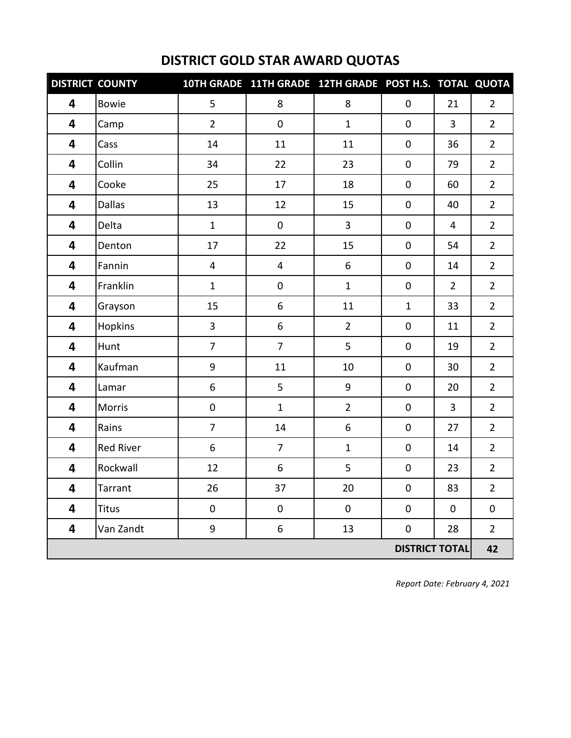|                         | <b>DISTRICT COUNTY</b> |                         | 10TH GRADE 11TH GRADE 12TH GRADE POST H.S. TOTAL QUOTA |                  |                       |                |                |
|-------------------------|------------------------|-------------------------|--------------------------------------------------------|------------------|-----------------------|----------------|----------------|
| 4                       | <b>Bowie</b>           | 5                       | 8                                                      | 8                | $\mathbf 0$           | 21             | $\overline{2}$ |
| 4                       | Camp                   | $\overline{2}$          | $\mathbf 0$                                            | $\mathbf{1}$     | $\pmb{0}$             | $\overline{3}$ | $\overline{2}$ |
| 4                       | Cass                   | 14                      | 11                                                     | 11               | $\mathbf 0$           | 36             | $\overline{2}$ |
| 4                       | Collin                 | 34                      | 22                                                     | 23               | $\mathbf 0$           | 79             | $\overline{2}$ |
| $\overline{\mathbf{4}}$ | Cooke                  | 25                      | 17                                                     | 18               | $\pmb{0}$             | 60             | $\overline{2}$ |
| 4                       | <b>Dallas</b>          | 13                      | 12                                                     | 15               | 0                     | 40             | $\overline{2}$ |
| 4                       | Delta                  | $\mathbf{1}$            | $\mathbf 0$                                            | 3                | $\pmb{0}$             | 4              | $\overline{2}$ |
| 4                       | Denton                 | 17                      | 22                                                     | 15               | $\mathbf 0$           | 54             | $\overline{2}$ |
| 4                       | Fannin                 | $\overline{\mathbf{4}}$ | $\overline{4}$                                         | $\boldsymbol{6}$ | $\pmb{0}$             | 14             | $\overline{2}$ |
| 4                       | Franklin               | $\mathbf{1}$            | $\pmb{0}$                                              | $\mathbf{1}$     | $\pmb{0}$             | $\overline{2}$ | $\overline{2}$ |
| 4                       | Grayson                | 15                      | 6                                                      | 11               | $\mathbf{1}$          | 33             | $\overline{2}$ |
| 4                       | Hopkins                | 3                       | 6                                                      | $\overline{2}$   | $\pmb{0}$             | 11             | $\overline{2}$ |
| 4                       | Hunt                   | $\overline{7}$          | $\overline{7}$                                         | 5                | $\pmb{0}$             | 19             | $\overline{2}$ |
| 4                       | Kaufman                | 9                       | 11                                                     | 10               | $\mathbf 0$           | 30             | $\overline{2}$ |
| 4                       | Lamar                  | 6                       | 5                                                      | $\boldsymbol{9}$ | $\mathsf 0$           | 20             | $\overline{2}$ |
| 4                       | Morris                 | $\pmb{0}$               | $\mathbf 1$                                            | $\overline{2}$   | $\pmb{0}$             | $\overline{3}$ | $\overline{2}$ |
| 4                       | Rains                  | $\overline{7}$          | 14                                                     | 6                | $\pmb{0}$             | 27             | $\overline{2}$ |
| $\overline{\mathbf{4}}$ | <b>Red River</b>       | 6                       | $\overline{7}$                                         | $\mathbf{1}$     | $\mathbf 0$           | 14             | $\overline{2}$ |
| 4                       | Rockwall               | 12                      | 6                                                      | 5                | $\pmb{0}$             | 23             | $\overline{2}$ |
| 4                       | Tarrant                | 26                      | 37                                                     | 20               | $\mathbf 0$           | 83             | $\overline{2}$ |
| 4                       | <b>Titus</b>           | $\mathbf 0$             | $\mathbf 0$                                            | $\mathbf 0$      | $\mathbf 0$           | $\mathbf 0$    | 0              |
| 4                       | Van Zandt              | 9                       | 6                                                      | 13               | $\mathbf 0$           | 28             | $\overline{2}$ |
|                         |                        |                         |                                                        |                  | <b>DISTRICT TOTAL</b> |                | 42             |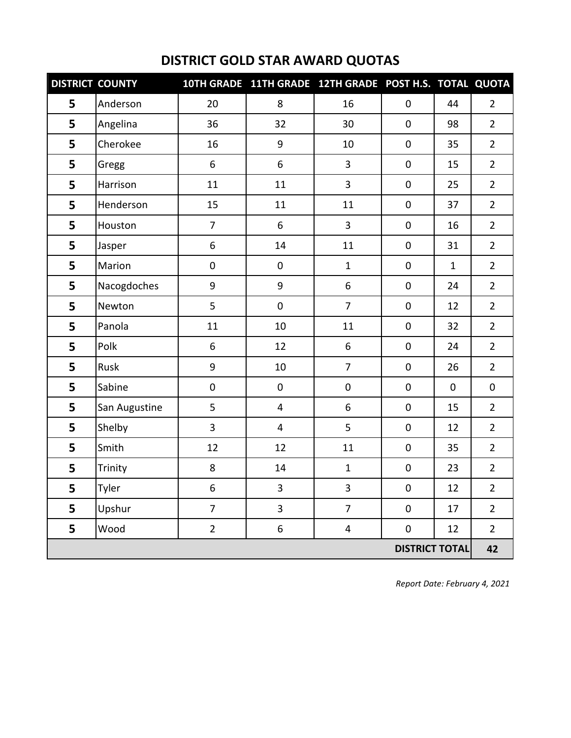| <b>DISTRICT COUNTY</b> |               |                | 10TH GRADE 11TH GRADE 12TH GRADE POST H.S. TOTAL QUOTA |                         |                       |              |                |
|------------------------|---------------|----------------|--------------------------------------------------------|-------------------------|-----------------------|--------------|----------------|
| 5                      | Anderson      | 20             | 8                                                      | 16                      | 0                     | 44           | $\overline{2}$ |
| 5                      | Angelina      | 36             | 32                                                     | 30                      | $\pmb{0}$             | 98           | $\overline{2}$ |
| 5                      | Cherokee      | 16             | 9                                                      | 10                      | $\pmb{0}$             | 35           | $\overline{2}$ |
| 5                      | Gregg         | 6              | 6                                                      | 3                       | $\pmb{0}$             | 15           | $\overline{2}$ |
| 5                      | Harrison      | 11             | 11                                                     | 3                       | $\pmb{0}$             | 25           | $\overline{2}$ |
| 5                      | Henderson     | 15             | 11                                                     | 11                      | $\pmb{0}$             | 37           | $\overline{2}$ |
| 5                      | Houston       | $\overline{7}$ | 6                                                      | 3                       | $\pmb{0}$             | 16           | $\overline{2}$ |
| 5                      | Jasper        | 6              | 14                                                     | 11                      | $\pmb{0}$             | 31           | $\overline{2}$ |
| 5                      | Marion        | $\pmb{0}$      | $\pmb{0}$                                              | $\mathbf{1}$            | $\pmb{0}$             | $\mathbf{1}$ | $\overline{2}$ |
| 5                      | Nacogdoches   | 9              | 9                                                      | 6                       | $\pmb{0}$             | 24           | $\overline{2}$ |
| 5                      | Newton        | 5              | $\pmb{0}$                                              | $\overline{7}$          | $\pmb{0}$             | 12           | $\overline{2}$ |
| 5                      | Panola        | 11             | 10                                                     | 11                      | $\pmb{0}$             | 32           | $\overline{2}$ |
| 5                      | Polk          | 6              | 12                                                     | 6                       | 0                     | 24           | $\overline{2}$ |
| 5                      | Rusk          | 9              | 10                                                     | $\overline{7}$          | 0                     | 26           | $\overline{2}$ |
| 5                      | Sabine        | $\pmb{0}$      | $\pmb{0}$                                              | $\pmb{0}$               | $\pmb{0}$             | $\mathbf 0$  | $\pmb{0}$      |
| 5                      | San Augustine | 5              | $\overline{4}$                                         | 6                       | $\pmb{0}$             | 15           | $\overline{2}$ |
| 5                      | Shelby        | 3              | $\overline{\mathbf{4}}$                                | 5                       | $\pmb{0}$             | 12           | $\overline{2}$ |
| 5                      | Smith         | 12             | 12                                                     | 11                      | 0                     | 35           | $\overline{2}$ |
| 5                      | Trinity       | 8              | 14                                                     | $\mathbf{1}$            | $\pmb{0}$             | 23           | $\overline{2}$ |
| 5                      | Tyler         | 6              | 3                                                      | $\overline{3}$          | $\mathbf 0$           | 12           | $\overline{2}$ |
| 5                      | Upshur        | $\overline{7}$ | $\mathbf{3}$                                           | $\overline{7}$          | $\pmb{0}$             | 17           | $\overline{2}$ |
| 5                      | Wood          | $\overline{2}$ | $\boldsymbol{6}$                                       | $\overline{\mathbf{4}}$ | 0                     | 12           | $\overline{2}$ |
|                        |               |                |                                                        |                         | <b>DISTRICT TOTAL</b> |              | 42             |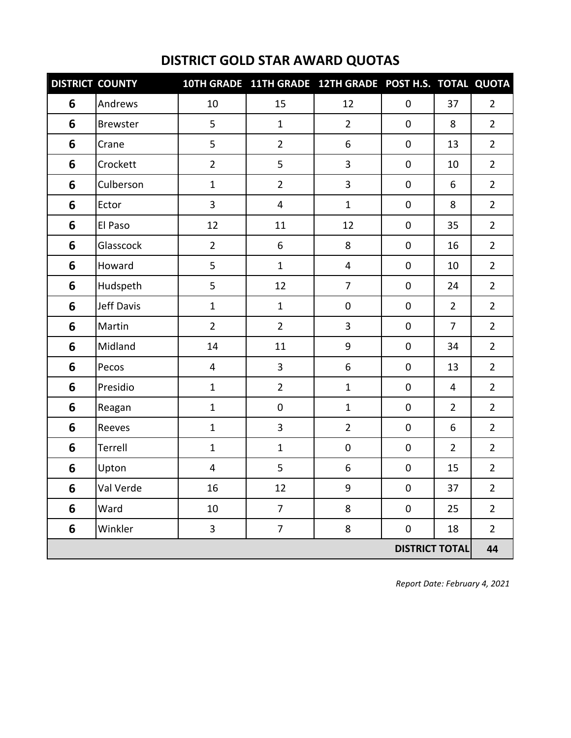|   | <b>DISTRICT COUNTY</b> |                         | 10TH GRADE 11TH GRADE 12TH GRADE POST H.S. TOTAL QUOTA |                |                       |                |                |
|---|------------------------|-------------------------|--------------------------------------------------------|----------------|-----------------------|----------------|----------------|
| 6 | Andrews                | 10                      | 15                                                     | 12             | $\mathbf 0$           | 37             | $\overline{2}$ |
| 6 | <b>Brewster</b>        | 5                       | $\mathbf{1}$                                           | $\overline{2}$ | $\mathbf 0$           | 8              | $\overline{2}$ |
| 6 | Crane                  | 5                       | $\overline{2}$                                         | 6              | $\mathbf 0$           | 13             | $\overline{2}$ |
| 6 | Crockett               | $\overline{2}$          | 5                                                      | 3              | $\mathbf 0$           | 10             | $\overline{2}$ |
| 6 | Culberson              | $\mathbf 1$             | $\overline{2}$                                         | 3              | $\pmb{0}$             | 6              | $\overline{2}$ |
| 6 | Ector                  | 3                       | $\overline{\mathbf{4}}$                                | $\mathbf{1}$   | $\pmb{0}$             | 8              | $\overline{2}$ |
| 6 | El Paso                | 12                      | 11                                                     | 12             | $\pmb{0}$             | 35             | $\overline{2}$ |
| 6 | Glasscock              | $\overline{2}$          | 6                                                      | 8              | $\mathbf 0$           | 16             | $\overline{2}$ |
| 6 | Howard                 | 5                       | $\mathbf 1$                                            | 4              | $\pmb{0}$             | 10             | $\overline{2}$ |
| 6 | Hudspeth               | 5                       | 12                                                     | $\overline{7}$ | $\pmb{0}$             | 24             | $\overline{2}$ |
| 6 | Jeff Davis             | $\mathbf 1$             | $\mathbf{1}$                                           | $\pmb{0}$      | 0                     | $\overline{2}$ | $\overline{2}$ |
| 6 | Martin                 | $\overline{2}$          | $\overline{2}$                                         | 3              | $\pmb{0}$             | $\overline{7}$ | $\overline{2}$ |
| 6 | Midland                | 14                      | 11                                                     | 9              | $\pmb{0}$             | 34             | $\overline{2}$ |
| 6 | Pecos                  | $\overline{\mathbf{4}}$ | $\overline{3}$                                         | 6              | $\pmb{0}$             | 13             | $\overline{2}$ |
| 6 | Presidio               | $\mathbf{1}$            | $\overline{2}$                                         | $\mathbf 1$    | $\pmb{0}$             | $\overline{4}$ | $\overline{2}$ |
| 6 | Reagan                 | $\mathbf 1$             | $\pmb{0}$                                              | $\mathbf{1}$   | $\pmb{0}$             | $\overline{2}$ | $\overline{2}$ |
| 6 | Reeves                 | $\mathbf 1$             | 3                                                      | $\overline{2}$ | $\pmb{0}$             | 6              | $\overline{2}$ |
| 6 | Terrell                | $\mathbf{1}$            | $\mathbf{1}$                                           | $\pmb{0}$      | $\pmb{0}$             | $\overline{2}$ | $\overline{2}$ |
| 6 | Upton                  | 4                       | 5                                                      | 6              | $\pmb{0}$             | 15             | $\overline{2}$ |
| 6 | Val Verde              | 16                      | 12                                                     | 9              | $\mathbf 0$           | 37             | $\overline{2}$ |
| 6 | Ward                   | 10                      | $\overline{7}$                                         | 8              | $\mathbf 0$           | 25             | $\overline{2}$ |
| 6 | Winkler                | 3                       | $\overline{7}$                                         | 8              | $\mathbf 0$           | 18             | $\overline{2}$ |
|   |                        |                         |                                                        |                | <b>DISTRICT TOTAL</b> |                | 44             |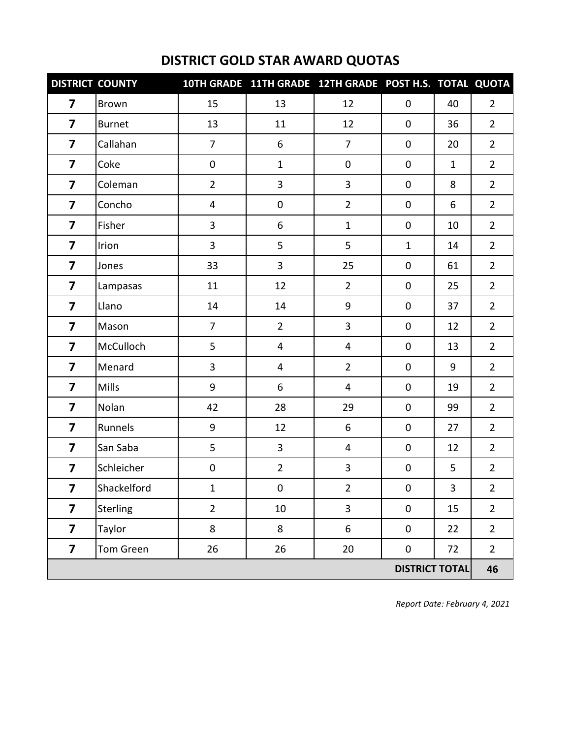| <b>DISTRICT COUNTY</b>  |               |                | 10TH GRADE 11TH GRADE 12TH GRADE POST H.S. TOTAL QUOTA |                         |                       |                |                |
|-------------------------|---------------|----------------|--------------------------------------------------------|-------------------------|-----------------------|----------------|----------------|
| $\overline{\mathbf{z}}$ | <b>Brown</b>  | 15             | 13                                                     | 12                      | $\mathbf 0$           | 40             | $\overline{2}$ |
| $\overline{7}$          | <b>Burnet</b> | 13             | 11                                                     | 12                      | $\mathbf 0$           | 36             | $\overline{2}$ |
| $\overline{\mathbf{z}}$ | Callahan      | $\overline{7}$ | 6                                                      | $\overline{7}$          | $\mathbf 0$           | 20             | $\overline{2}$ |
| 7                       | Coke          | $\pmb{0}$      | $\mathbf{1}$                                           | $\pmb{0}$               | $\mathbf 0$           | $\mathbf{1}$   | $\overline{2}$ |
| $\overline{\mathbf{z}}$ | Coleman       | $\overline{2}$ | 3                                                      | 3                       | $\pmb{0}$             | 8              | $\overline{2}$ |
| 7                       | Concho        | 4              | $\pmb{0}$                                              | $\overline{2}$          | $\pmb{0}$             | 6              | $\overline{2}$ |
| $\overline{\mathbf{z}}$ | Fisher        | 3              | 6                                                      | $\mathbf{1}$            | $\pmb{0}$             | 10             | $\overline{2}$ |
| $\overline{\mathbf{z}}$ | Irion         | $\overline{3}$ | 5                                                      | 5                       | $\mathbf{1}$          | 14             | $\overline{2}$ |
| $\overline{\mathbf{z}}$ | Jones         | 33             | 3                                                      | 25                      | $\pmb{0}$             | 61             | $\overline{2}$ |
| $\overline{7}$          | Lampasas      | 11             | 12                                                     | $\overline{2}$          | $\mathbf 0$           | 25             | $\overline{2}$ |
| $\overline{\mathbf{z}}$ | Llano         | 14             | 14                                                     | 9                       | $\mathbf 0$           | 37             | $\overline{2}$ |
| $\overline{\mathbf{z}}$ | Mason         | $\overline{7}$ | $\overline{2}$                                         | 3                       | $\pmb{0}$             | 12             | $\overline{2}$ |
| $\overline{\mathbf{z}}$ | McCulloch     | 5              | $\overline{4}$                                         | $\overline{4}$          | $\pmb{0}$             | 13             | $\overline{2}$ |
| 7                       | Menard        | 3              | $\overline{4}$                                         | $\overline{2}$          | $\pmb{0}$             | 9              | $\overline{2}$ |
| $\overline{\mathbf{z}}$ | <b>Mills</b>  | 9              | 6                                                      | $\overline{\mathbf{4}}$ | $\pmb{0}$             | 19             | $\overline{2}$ |
| $\overline{\mathbf{z}}$ | Nolan         | 42             | 28                                                     | 29                      | $\pmb{0}$             | 99             | $\overline{2}$ |
| $\overline{\mathbf{z}}$ | Runnels       | 9              | 12                                                     | 6                       | $\pmb{0}$             | 27             | $\overline{2}$ |
| $\overline{\mathbf{z}}$ | San Saba      | 5              | $\overline{3}$                                         | $\overline{\mathbf{4}}$ | $\pmb{0}$             | 12             | $\overline{2}$ |
| $\overline{\mathbf{z}}$ | Schleicher    | $\pmb{0}$      | $\overline{2}$                                         | 3                       | $\pmb{0}$             | 5              | $\overline{2}$ |
| $\overline{\mathbf{z}}$ | Shackelford   | $\mathbf{1}$   | $\mathbf 0$                                            | $\overline{2}$          | $\mathbf 0$           | $\overline{3}$ | $2^{\circ}$    |
| $\overline{\mathbf{z}}$ | Sterling      | $\overline{2}$ | 10                                                     | 3                       | $\pmb{0}$             | 15             | $\overline{2}$ |
| $\overline{\mathbf{z}}$ | Taylor        | 8              | 8                                                      | 6                       | $\pmb{0}$             | 22             | $\overline{2}$ |
| $\overline{\mathbf{z}}$ | Tom Green     | 26             | 26                                                     | $20\,$                  | $\pmb{0}$             | 72             | $\overline{2}$ |
|                         |               |                |                                                        |                         | <b>DISTRICT TOTAL</b> |                | 46             |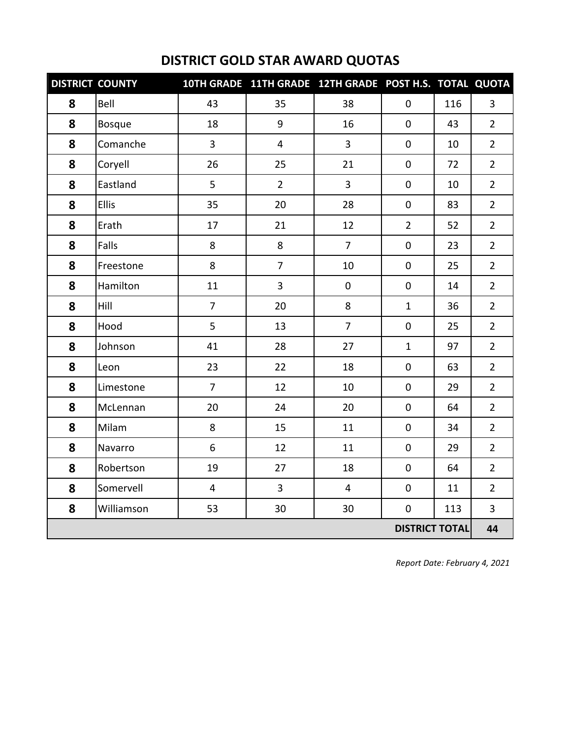|                       | <b>DISTRICT COUNTY</b> |                | 10TH GRADE 11TH GRADE 12TH GRADE POST H.S. TOTAL QUOTA |                |                |     |                |  |
|-----------------------|------------------------|----------------|--------------------------------------------------------|----------------|----------------|-----|----------------|--|
| 8                     | Bell                   | 43             | 35                                                     | 38             | $\mathbf 0$    | 116 | $\overline{3}$ |  |
| 8                     | Bosque                 | 18             | 9                                                      | 16             | $\pmb{0}$      | 43  | $\overline{2}$ |  |
| 8                     | Comanche               | 3              | $\overline{4}$                                         | 3              | $\mathbf 0$    | 10  | $\overline{2}$ |  |
| 8                     | Coryell                | 26             | 25                                                     | 21             | 0              | 72  | $\overline{2}$ |  |
| 8                     | Eastland               | 5              | $\overline{2}$                                         | $\overline{3}$ | $\pmb{0}$      | 10  | $\overline{2}$ |  |
| 8                     | Ellis                  | 35             | 20                                                     | 28             | $\mathbf 0$    | 83  | $\overline{2}$ |  |
| 8                     | Erath                  | 17             | 21                                                     | 12             | $\overline{2}$ | 52  | $\overline{2}$ |  |
| 8                     | Falls                  | $\bf 8$        | 8                                                      | $\overline{7}$ | $\mathbf 0$    | 23  | $\overline{2}$ |  |
| 8                     | Freestone              | 8              | $\overline{7}$                                         | 10             | $\mathsf 0$    | 25  | $\overline{2}$ |  |
| 8                     | Hamilton               | 11             | $\mathbf{3}$                                           | $\pmb{0}$      | $\pmb{0}$      | 14  | $\overline{2}$ |  |
| 8                     | Hill                   | $\overline{7}$ | 20                                                     | 8              | $\mathbf{1}$   | 36  | $\overline{2}$ |  |
| 8                     | Hood                   | 5              | 13                                                     | $\overline{7}$ | 0              | 25  | $\overline{2}$ |  |
| 8                     | Johnson                | 41             | 28                                                     | 27             | $\mathbf{1}$   | 97  | $\overline{2}$ |  |
| 8                     | Leon                   | 23             | 22                                                     | 18             | $\mathbf 0$    | 63  | $\overline{2}$ |  |
| 8                     | Limestone              | $\overline{7}$ | 12                                                     | 10             | $\mathbf 0$    | 29  | $\overline{2}$ |  |
| 8                     | McLennan               | 20             | 24                                                     | 20             | $\mathbf 0$    | 64  | $\overline{2}$ |  |
| 8                     | Milam                  | 8              | 15                                                     | 11             | $\mathbf 0$    | 34  | $\overline{2}$ |  |
| 8                     | Navarro                | 6              | 12                                                     | 11             | 0              | 29  | $\overline{2}$ |  |
| 8                     | Robertson              | 19             | 27                                                     | 18             | 0              | 64  | $\overline{2}$ |  |
| 8                     | Somervell              | 4              | $\overline{3}$                                         | $\overline{4}$ | $\mathbf 0$    | 11  | $\overline{2}$ |  |
| 8                     | Williamson             | 53             | 30                                                     | 30             | $\mathsf 0$    | 113 | $\overline{3}$ |  |
| <b>DISTRICT TOTAL</b> |                        |                |                                                        |                |                |     |                |  |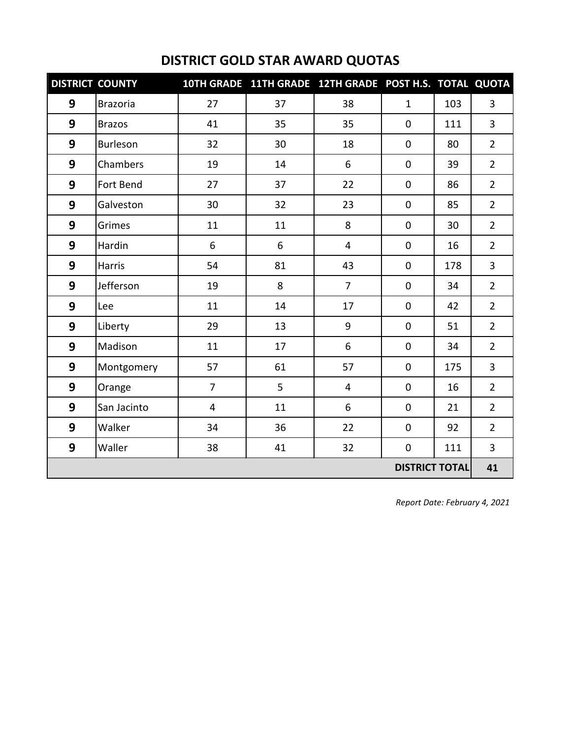|   | <b>DISTRICT COUNTY</b> |                | 10TH GRADE 11TH GRADE 12TH GRADE POST H.S. TOTAL QUOTA |                |                       |     |                |
|---|------------------------|----------------|--------------------------------------------------------|----------------|-----------------------|-----|----------------|
| 9 | <b>Brazoria</b>        | 27             | 37                                                     | 38             | $\mathbf{1}$          | 103 | 3              |
| 9 | <b>Brazos</b>          | 41             | 35                                                     | 35             | 0                     | 111 | $\overline{3}$ |
| 9 | Burleson               | 32             | 30                                                     | 18             | $\pmb{0}$             | 80  | $\overline{2}$ |
| 9 | Chambers               | 19             | 14                                                     | 6              | 0                     | 39  | $\overline{2}$ |
| 9 | Fort Bend              | 27             | 37                                                     | 22             | 0                     | 86  | $\overline{2}$ |
| 9 | Galveston              | 30             | 32                                                     | 23             | $\mathbf 0$           | 85  | $\overline{2}$ |
| 9 | Grimes                 | 11             | 11                                                     | 8              | $\pmb{0}$             | 30  | $\overline{2}$ |
| 9 | Hardin                 | 6              | 6                                                      | 4              | $\mathbf 0$           | 16  | $\overline{2}$ |
| 9 | Harris                 | 54             | 81                                                     | 43             | 0                     | 178 | 3              |
| 9 | Jefferson              | 19             | 8                                                      | $\overline{7}$ | $\pmb{0}$             | 34  | $\overline{2}$ |
| 9 | Lee                    | 11             | 14                                                     | 17             | 0                     | 42  | $\overline{2}$ |
| 9 | Liberty                | 29             | 13                                                     | 9              | 0                     | 51  | $\overline{2}$ |
| 9 | Madison                | 11             | 17                                                     | 6              | $\pmb{0}$             | 34  | $\overline{2}$ |
| 9 | Montgomery             | 57             | 61                                                     | 57             | $\pmb{0}$             | 175 | 3              |
| 9 | Orange                 | $\overline{7}$ | 5                                                      | 4              | $\mathbf 0$           | 16  | $\overline{2}$ |
| 9 | San Jacinto            | 4              | 11                                                     | 6              | $\mathbf 0$           | 21  | $\overline{2}$ |
| 9 | Walker                 | 34             | 36                                                     | 22             | $\pmb{0}$             | 92  | $\overline{2}$ |
| 9 | Waller                 | 38             | 41                                                     | 32             | 0                     | 111 | $\overline{3}$ |
|   |                        |                |                                                        |                | <b>DISTRICT TOTAL</b> |     | 41             |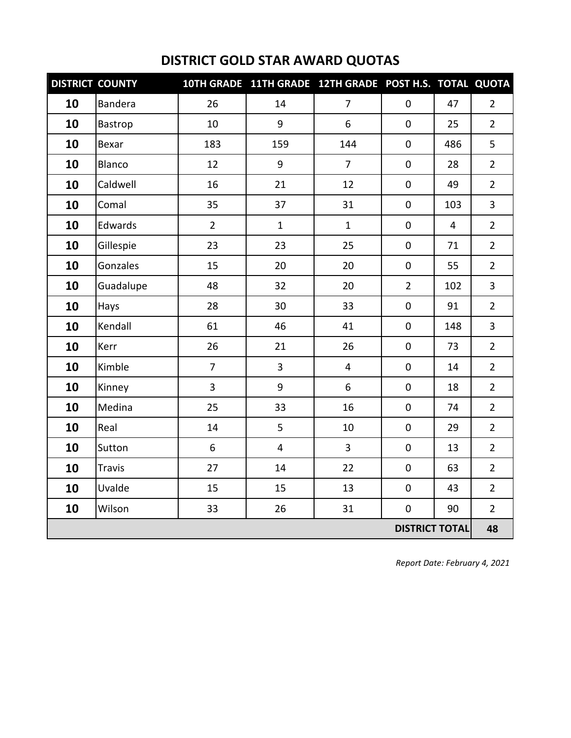| <b>DISTRICT COUNTY</b> |                |                | 10TH GRADE 11TH GRADE 12TH GRADE POST H.S. TOTAL QUOTA |                         |                       |                |                |
|------------------------|----------------|----------------|--------------------------------------------------------|-------------------------|-----------------------|----------------|----------------|
| 10                     | <b>Bandera</b> | 26             | 14                                                     | $\overline{7}$          | $\pmb{0}$             | 47             | $\overline{2}$ |
| 10                     | Bastrop        | 10             | 9                                                      | 6                       | $\mathbf 0$           | 25             | $\overline{2}$ |
| 10                     | Bexar          | 183            | 159                                                    | 144                     | $\mathbf 0$           | 486            | 5              |
| 10                     | Blanco         | 12             | 9                                                      | $\overline{7}$          | $\mathbf 0$           | 28             | $\overline{2}$ |
| 10                     | Caldwell       | 16             | 21                                                     | 12                      | $\pmb{0}$             | 49             | $\overline{2}$ |
| 10                     | Comal          | 35             | 37                                                     | 31                      | $\pmb{0}$             | 103            | 3              |
| 10                     | Edwards        | $\overline{2}$ | $\mathbf{1}$                                           | $\mathbf{1}$            | $\mathbf 0$           | $\overline{4}$ | $\overline{2}$ |
| 10                     | Gillespie      | 23             | 23                                                     | 25                      | $\mathbf 0$           | 71             | $\overline{2}$ |
| 10                     | Gonzales       | 15             | 20                                                     | 20                      | $\pmb{0}$             | 55             | $\overline{2}$ |
| 10                     | Guadalupe      | 48             | 32                                                     | 20                      | $\overline{2}$        | 102            | 3              |
| 10                     | Hays           | 28             | 30                                                     | 33                      | $\pmb{0}$             | 91             | $\overline{2}$ |
| 10                     | Kendall        | 61             | 46                                                     | 41                      | $\mathbf 0$           | 148            | $\overline{3}$ |
| 10                     | Kerr           | 26             | 21                                                     | 26                      | $\pmb{0}$             | 73             | $\overline{2}$ |
| 10                     | Kimble         | $\overline{7}$ | $\overline{3}$                                         | $\overline{\mathbf{4}}$ | $\mathbf 0$           | 14             | $\overline{2}$ |
| 10                     | Kinney         | $\overline{3}$ | 9                                                      | 6                       | $\mathbf 0$           | 18             | $\overline{2}$ |
| 10                     | Medina         | 25             | 33                                                     | 16                      | $\mathbf 0$           | 74             | $\overline{2}$ |
| 10                     | Real           | 14             | 5                                                      | 10                      | $\mathbf 0$           | 29             | $\overline{2}$ |
| 10                     | Sutton         | 6              | $\overline{4}$                                         | 3                       | $\pmb{0}$             | 13             | $\overline{2}$ |
| 10                     | <b>Travis</b>  | 27             | 14                                                     | 22                      | $\mathbf 0$           | 63             | $\overline{2}$ |
| 10                     | Uvalde         | 15             | 15                                                     | 13                      | $\mathbf 0$           | 43             | $\overline{2}$ |
| 10                     | Wilson         | 33             | 26                                                     | 31                      | $\pmb{0}$             | 90             | $\overline{2}$ |
|                        |                |                |                                                        |                         | <b>DISTRICT TOTAL</b> |                | 48             |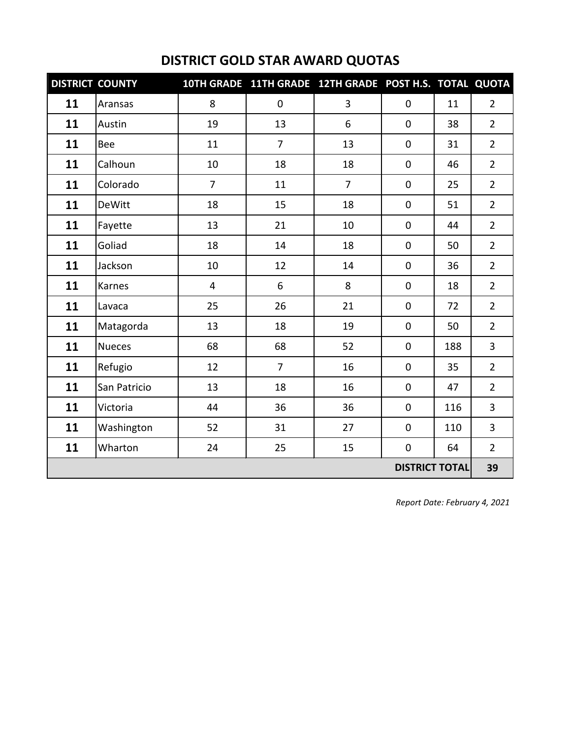|    | <b>DISTRICT COUNTY</b> |                | 10TH GRADE 11TH GRADE 12TH GRADE POST H.S. TOTAL QUOTA |                |                       |     |                |
|----|------------------------|----------------|--------------------------------------------------------|----------------|-----------------------|-----|----------------|
| 11 | Aransas                | 8              | $\pmb{0}$                                              | 3              | $\mathbf 0$           | 11  | $\overline{2}$ |
| 11 | Austin                 | 19             | 13                                                     | 6              | $\mathbf 0$           | 38  | $\overline{2}$ |
| 11 | Bee                    | 11             | $\overline{7}$                                         | 13             | $\pmb{0}$             | 31  | $\overline{2}$ |
| 11 | Calhoun                | 10             | 18                                                     | 18             | $\mathbf 0$           | 46  | $\overline{2}$ |
| 11 | Colorado               | $\overline{7}$ | 11                                                     | $\overline{7}$ | $\mathbf 0$           | 25  | $\overline{2}$ |
| 11 | <b>DeWitt</b>          | 18             | 15                                                     | 18             | $\mathbf 0$           | 51  | $\overline{2}$ |
| 11 | Fayette                | 13             | 21                                                     | 10             | $\pmb{0}$             | 44  | $\overline{2}$ |
| 11 | Goliad                 | 18             | 14                                                     | 18             | $\mathbf 0$           | 50  | $\overline{2}$ |
| 11 | Jackson                | 10             | 12                                                     | 14             | $\mathbf 0$           | 36  | $\overline{2}$ |
| 11 | Karnes                 | $\overline{4}$ | 6                                                      | 8              | $\pmb{0}$             | 18  | $\overline{2}$ |
| 11 | Lavaca                 | 25             | 26                                                     | 21             | $\mathbf 0$           | 72  | $\overline{2}$ |
| 11 | Matagorda              | 13             | 18                                                     | 19             | $\mathbf 0$           | 50  | $\overline{2}$ |
| 11 | <b>Nueces</b>          | 68             | 68                                                     | 52             | $\pmb{0}$             | 188 | $\overline{3}$ |
| 11 | Refugio                | 12             | $\overline{7}$                                         | 16             | $\pmb{0}$             | 35  | $\overline{2}$ |
| 11 | San Patricio           | 13             | 18                                                     | 16             | $\mathbf 0$           | 47  | $\overline{2}$ |
| 11 | Victoria               | 44             | 36                                                     | 36             | $\mathbf 0$           | 116 | 3              |
| 11 | Washington             | 52             | 31                                                     | 27             | $\pmb{0}$             | 110 | 3              |
| 11 | Wharton                | 24             | 25                                                     | 15             | $\mathbf 0$           | 64  | $\overline{2}$ |
|    |                        |                |                                                        |                | <b>DISTRICT TOTAL</b> |     | 39             |